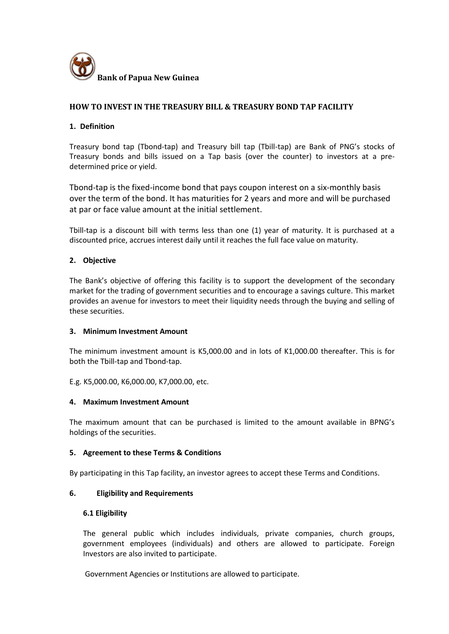

# **HOW TO INVEST IN THE TREASURY BILL & TREASURY BOND TAP FACILITY**

# **1. Definition**

Treasury bond tap (Tbond-tap) and Treasury bill tap (Tbill-tap) are Bank of PNG's stocks of Treasury bonds and bills issued on a Tap basis (over the counter) to investors at a predetermined price or yield.

Tbond-tap is the fixed-income bond that pays coupon interest on a six-monthly basis over the term of the bond. It has maturities for 2 years and more and will be purchased at par or face value amount at the initial settlement.

Tbill-tap is a discount bill with terms less than one (1) year of maturity. It is purchased at a discounted price, accrues interest daily until it reaches the full face value on maturity.

## **2. Objective**

The Bank's objective of offering this facility is to support the development of the secondary market for the trading of government securities and to encourage a savings culture. This market provides an avenue for investors to meet their liquidity needs through the buying and selling of these securities.

# **3. Minimum Investment Amount**

The minimum investment amount is K5,000.00 and in lots of K1,000.00 thereafter. This is for both the Tbill-tap and Tbond-tap.

E.g. K5,000.00, K6,000.00, K7,000.00, etc.

## **4. Maximum Investment Amount**

The maximum amount that can be purchased is limited to the amount available in BPNG's holdings of the securities.

## **5. Agreement to these Terms & Conditions**

By participating in this Tap facility, an investor agrees to accept these Terms and Conditions.

## **6. Eligibility and Requirements**

## **6.1 Eligibility**

The general public which includes individuals, private companies, church groups, government employees (individuals) and others are allowed to participate. Foreign Investors are also invited to participate.

Government Agencies or Institutions are allowed to participate.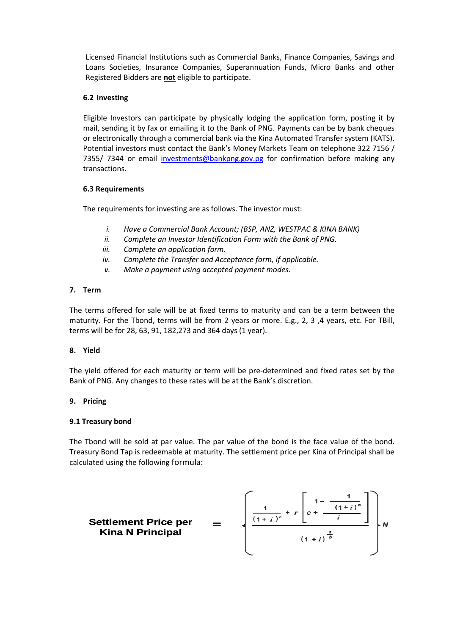Licensed Financial Institutions such as Commercial Banks, Finance Companies, Savings and Loans Societies, Insurance Companies, Superannuation Funds, Micro Banks and other Registered Bidders are **not** eligible to participate.

# **6.2 Investing**

Eligible Investors can participate by physically lodging the application form, posting it by mail, sending it by fax or emailing it to the Bank of PNG. Payments can be by bank cheques or electronically through a commercial bank via the Kina Automated Transfer system (KATS). Potential investors must contact the Bank's Money Markets Team on telephone 322 7156 / 7355/ 7344 or email [investments@bankpng.gov.pg](mailto:investments@bankpng.gov.pg) for confirmation before making any transactions.

## **6.3 Requirements**

The requirements for investing are as follows. The investor must:

- *i. Have a Commercial Bank Account; (BSP, ANZ, WESTPAC & KINA BANK)*
- *ii. Complete an Investor Identification Form with the Bank of PNG.*
- *iii. Complete an application form.*
- *iv. Complete the Transfer and Acceptance form, if applicable.*
- *v. Make a payment using accepted payment modes.*

## **7. Term**

The terms offered for sale will be at fixed terms to maturity and can be a term between the maturity. For the Tbond, terms will be from 2 years or more. E.g., 2, 3 ,4 years, etc. For TBill, terms will be for 28, 63, 91, 182,273 and 364 days (1 year).

## **8. Yield**

The yield offered for each maturity or term will be pre-determined and fixed rates set by the Bank of PNG. Any changes to these rates will be at the Bank's discretion.

## **9. Pricing**

## **9.1 Treasury bond**

The Tbond will be sold at par value. The par value of the bond is the face value of the bond. Treasury Bond Tap is redeemable at maturity. The settlement price per Kina of Principal shall be calculated using the following formula:

**Set**lement Price per  
Kina N Principal  

$$
\left(\frac{1}{(1+i)^n} + r \left[ c + \frac{1 - \frac{1}{(1+i)^n}}{i} \right] \right) N
$$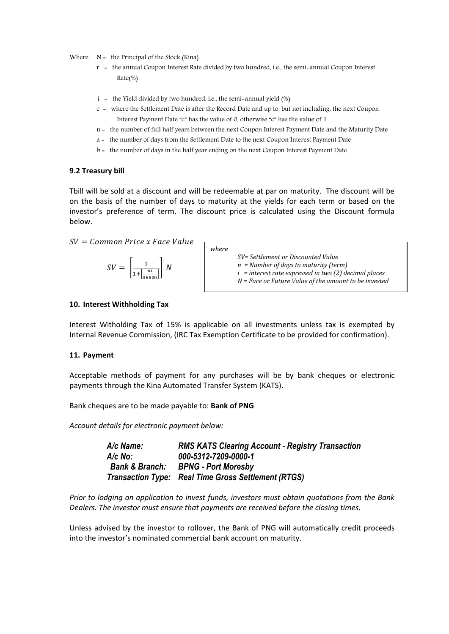Where  $N =$  the Principal of the Stock (Kina)

- $r =$  the annual Coupon Interest Rate divided by two hundred, i.e., the semi-annual Coupon Interest Rate(%)
- $i =$  the Yield divided by two hundred, i.e., the semi-annual yield  $(\%)$
- $c =$  where the Settlement Date is after the Record Date and up to, but not including, the next Coupon Interest Payment Date "c" has the value of 0, otherwise "c" has the value of 1
- n = the number of full half years between the next Coupon Interest Payment Date and the Maturity Date
- a = the number of days from the Settlement Date to the next Coupon Interest Payment Date
- b = the number of days in the half year ending on the next Coupon Interest Payment Date

#### **9.2 Treasury bill**

Tbill will be sold at a discount and will be redeemable at par on maturity. The discount will be on the basis of the number of days to maturity at the yields for each term or based on the investor's preference of term. The discount price is calculated using the Discount formula below.

 $SV = Common Price \times Face Value$ 

$$
SV = \left[\frac{1}{1 + \left[\frac{ni}{36500}\right]}\right] N
$$

| where |                                                                                                                                                                                                     |
|-------|-----------------------------------------------------------------------------------------------------------------------------------------------------------------------------------------------------|
|       | SV= Settlement or Discounted Value<br>$n =$ Number of days to maturity (term)<br>$i =$ interest rate expressed in two (2) decimal places<br>$N$ = Face or Future Value of the amount to be invested |
|       |                                                                                                                                                                                                     |

#### **10. Interest Withholding Tax**

Interest Witholding Tax of 15% is applicable on all investments unless tax is exempted by Internal Revenue Commission, (IRC Tax Exemption Certificate to be provided for confirmation).

#### **11. Payment**

Acceptable methods of payment for any purchases will be by bank cheques or electronic payments through the Kina Automated Transfer System (KATS).

Bank cheques are to be made payable to: **Bank of PNG**

*Account details for electronic payment below:*

| $A/c$ Name:               | <b>RMS KATS Clearing Account - Registry Transaction</b>    |
|---------------------------|------------------------------------------------------------|
| $A/c$ No:                 | 000-5312-7209-0000-1                                       |
| <b>Bank &amp; Branch:</b> | <b>BPNG - Port Moresby</b>                                 |
|                           | <b>Transaction Type: Real Time Gross Settlement (RTGS)</b> |

*Prior to lodging an application to invest funds, investors must obtain quotations from the Bank Dealers. The investor must ensure that payments are received before the closing times.*

Unless advised by the investor to rollover, the Bank of PNG will automatically credit proceeds into the investor's nominated commercial bank account on maturity.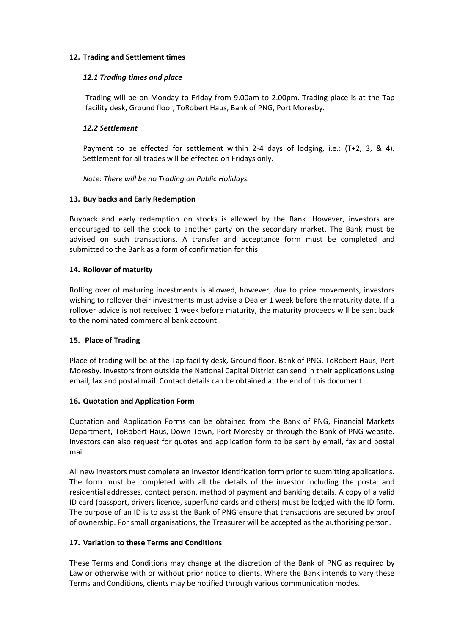## **12. Trading and Settlement times**

## *12.1 Trading times and place*

Trading will be on Monday to Friday from 9.00am to 2.00pm. Trading place is at the Tap facility desk, Ground floor, ToRobert Haus, Bank of PNG, Port Moresby.

# *12.2 Settlement*

Payment to be effected for settlement within 2-4 days of lodging, i.e.: (T+2, 3, & 4). Settlement for all trades will be effected on Fridays only.

*Note: There will be no Trading on Public Holidays.* 

## **13. Buy backs and Early Redemption**

Buyback and early redemption on stocks is allowed by the Bank. However, investors are encouraged to sell the stock to another party on the secondary market. The Bank must be advised on such transactions. A transfer and acceptance form must be completed and submitted to the Bank as a form of confirmation for this.

## **14. Rollover of maturity**

Rolling over of maturing investments is allowed, however, due to price movements, investors wishing to rollover their investments must advise a Dealer 1 week before the maturity date. If a rollover advice is not received 1 week before maturity, the maturity proceeds will be sent back to the nominated commercial bank account.

## **15. Place of Trading**

Place of trading will be at the Tap facility desk, Ground floor, Bank of PNG, ToRobert Haus, Port Moresby. Investors from outside the National Capital District can send in their applications using email, fax and postal mail. Contact details can be obtained at the end of this document.

## **16. Quotation and Application Form**

Quotation and Application Forms can be obtained from the Bank of PNG, Financial Markets Department, ToRobert Haus, Down Town, Port Moresby or through the Bank of PNG website. Investors can also request for quotes and application form to be sent by email, fax and postal mail.

All new investors must complete an Investor Identification form prior to submitting applications. The form must be completed with all the details of the investor including the postal and residential addresses, contact person, method of payment and banking details. A copy of a valid ID card (passport, drivers licence, superfund cards and others) must be lodged with the ID form. The purpose of an ID is to assist the Bank of PNG ensure that transactions are secured by proof of ownership. For small organisations, the Treasurer will be accepted as the authorising person.

# **17. Variation to these Terms and Conditions**

These Terms and Conditions may change at the discretion of the Bank of PNG as required by Law or otherwise with or without prior notice to clients. Where the Bank intends to vary these Terms and Conditions, clients may be notified through various communication modes.